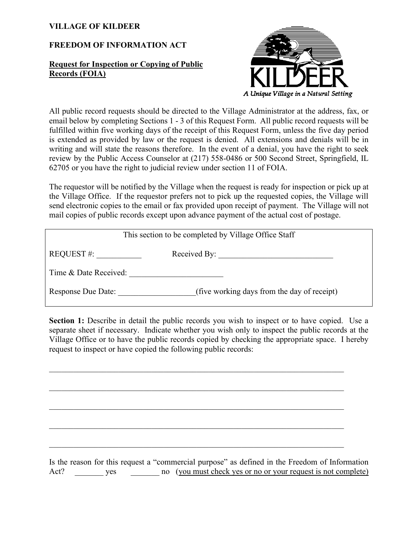## **VILLAGE OF KILDEER**

## **FREEDOM OF INFORMATION ACT**

## **Request for Inspection or Copying of Public Records (FOIA)**



All public record requests should be directed to the Village Administrator at the address, fax, or email below by completing Sections 1 - 3 of this Request Form. All public record requests will be fulfilled within five working days of the receipt of this Request Form, unless the five day period is extended as provided by law or the request is denied. All extensions and denials will be in writing and will state the reasons therefore. In the event of a denial, you have the right to seek review by the Public Access Counselor at (217) 558-0486 or 500 Second Street, Springfield, IL 62705 or you have the right to judicial review under section 11 of FOIA.

The requestor will be notified by the Village when the request is ready for inspection or pick up at the Village Office. If the requestor prefers not to pick up the requested copies, the Village will send electronic copies to the email or fax provided upon receipt of payment. The Village will not mail copies of public records except upon advance payment of the actual cost of postage.

| This section to be completed by Village Office Staff |                                             |  |
|------------------------------------------------------|---------------------------------------------|--|
| <b>REQUEST#:</b>                                     | Received By:                                |  |
| Time & Date Received:                                |                                             |  |
| Response Due Date:                                   | (five working days from the day of receipt) |  |

**Section 1:** Describe in detail the public records you wish to inspect or to have copied. Use a separate sheet if necessary. Indicate whether you wish only to inspect the public records at the Village Office or to have the public records copied by checking the appropriate space. I hereby request to inspect or have copied the following public records:

Is the reason for this request a "commercial purpose" as defined in the Freedom of Information Act? Wes the object of you must check yes or no or your request is not complete)